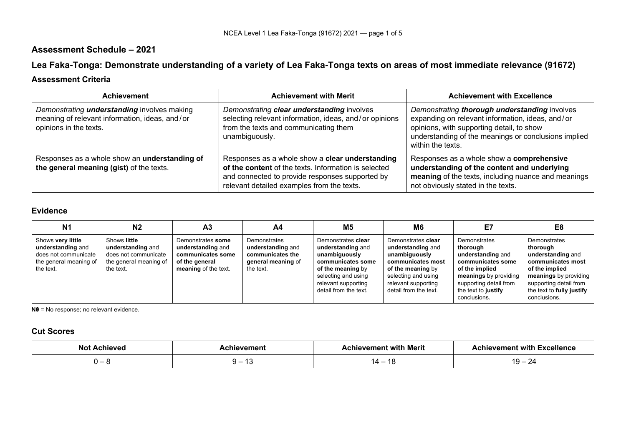## **Assessment Schedule – 2021**

# **Lea Faka-Tonga: Demonstrate understanding of a variety of Lea Faka-Tonga texts on areas of most immediate relevance (91672)**

## **Assessment Criteria**

| <b>Achievement</b>                                                                                                             | <b>Achievement with Merit</b>                                                                                                                                                                            | <b>Achievement with Excellence</b>                                                                                                                                                                                          |
|--------------------------------------------------------------------------------------------------------------------------------|----------------------------------------------------------------------------------------------------------------------------------------------------------------------------------------------------------|-----------------------------------------------------------------------------------------------------------------------------------------------------------------------------------------------------------------------------|
| Demonstrating <i>understanding</i> involves making<br>meaning of relevant information, ideas, and/or<br>opinions in the texts. | Demonstrating clear understanding involves<br>selecting relevant information, ideas, and/or opinions<br>from the texts and communicating them<br>unambiguously.                                          | Demonstrating thorough understanding involves<br>expanding on relevant information, ideas, and/or<br>opinions, with supporting detail, to show<br>understanding of the meanings or conclusions implied<br>within the texts. |
| Responses as a whole show an understanding of<br>the general meaning (gist) of the texts.                                      | Responses as a whole show a clear understanding<br>of the content of the texts. Information is selected<br>and connected to provide responses supported by<br>relevant detailed examples from the texts. | Responses as a whole show a comprehensive<br>understanding of the content and underlying<br>meaning of the texts, including nuance and meanings<br>not obviously stated in the texts.                                       |

#### **Evidence**

| N <sub>1</sub>                                                                                        | N2                                                                                               | A <sub>3</sub>                                                                                        | A4                                                                                       | M5                                                                                                                                                                        | M6                                                                                                                                                                        | E7                                                                                                                                                                             | E8                                                                                                                                                                                   |
|-------------------------------------------------------------------------------------------------------|--------------------------------------------------------------------------------------------------|-------------------------------------------------------------------------------------------------------|------------------------------------------------------------------------------------------|---------------------------------------------------------------------------------------------------------------------------------------------------------------------------|---------------------------------------------------------------------------------------------------------------------------------------------------------------------------|--------------------------------------------------------------------------------------------------------------------------------------------------------------------------------|--------------------------------------------------------------------------------------------------------------------------------------------------------------------------------------|
| Shows very little<br>understanding and<br>does not communicate<br>the general meaning of<br>the text. | Shows little<br>understanding and<br>does not communicate<br>the general meaning of<br>the text. | Demonstrates some<br>understanding and<br>communicates some<br>of the general<br>meaning of the text. | Demonstrates<br>understanding and<br>communicates the<br>general meaning of<br>the text. | Demonstrates clear<br>understanding and<br>unambiguously<br>communicates some<br>of the meaning by<br>selecting and using<br>relevant supporting<br>detail from the text. | Demonstrates clear<br>understanding and<br>unambiguously<br>communicates most<br>of the meaning by<br>selecting and using<br>relevant supporting<br>detail from the text. | Demonstrates<br>thorough<br>understanding and<br>communicates some<br>of the implied<br>meanings by providing<br>supporting detail from<br>the text to justify<br>conclusions. | Demonstrates<br>thorough<br>understanding and<br>communicates most<br>of the implied<br>meanings by providing<br>supporting detail from<br>the text to fully justify<br>conclusions. |

**N0** = No response; no relevant evidence.

## **Cut Scores**

| ıΛ<br>، ۱۵۷٬۵ | hievement  | hievement with Merit | Achievement with Excellence |
|---------------|------------|----------------------|-----------------------------|
|               | -44<br>. . | I 4                  | <u>_</u>                    |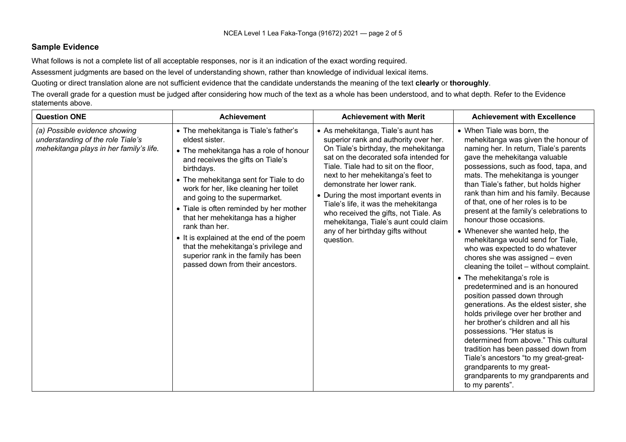#### **Sample Evidence**

What follows is not a complete list of all acceptable responses, nor is it an indication of the exact wording required.

Assessment judgments are based on the level of understanding shown, rather than knowledge of individual lexical items.

Quoting or direct translation alone are not sufficient evidence that the candidate understands the meaning of the text **clearly** or **thoroughly**.

The overall grade for a question must be judged after considering how much of the text as a whole has been understood, and to what depth. Refer to the Evidence statements above.

| <b>Question ONE</b>                                                                                           | <b>Achievement</b>                                                                                                                                                                                                                                                                                                                                                                                                                                                                                                                           | <b>Achievement with Merit</b>                                                                                                                                                                                                                                                                                                                                                                                                                                                                   | <b>Achievement with Excellence</b>                                                                                                                                                                                                                                                                                                                                                                                                                                                                                                                                                                                                                                                                                                                                                                                                                                                                                                                                                                                                                                                        |
|---------------------------------------------------------------------------------------------------------------|----------------------------------------------------------------------------------------------------------------------------------------------------------------------------------------------------------------------------------------------------------------------------------------------------------------------------------------------------------------------------------------------------------------------------------------------------------------------------------------------------------------------------------------------|-------------------------------------------------------------------------------------------------------------------------------------------------------------------------------------------------------------------------------------------------------------------------------------------------------------------------------------------------------------------------------------------------------------------------------------------------------------------------------------------------|-------------------------------------------------------------------------------------------------------------------------------------------------------------------------------------------------------------------------------------------------------------------------------------------------------------------------------------------------------------------------------------------------------------------------------------------------------------------------------------------------------------------------------------------------------------------------------------------------------------------------------------------------------------------------------------------------------------------------------------------------------------------------------------------------------------------------------------------------------------------------------------------------------------------------------------------------------------------------------------------------------------------------------------------------------------------------------------------|
| (a) Possible evidence showing<br>understanding of the role Tiale's<br>mehekitanga plays in her family's life. | • The mehekitanga is Tiale's father's<br>eldest sister.<br>• The mehekitanga has a role of honour<br>and receives the gifts on Tiale's<br>birthdays.<br>• The mehekitanga sent for Tiale to do<br>work for her, like cleaning her toilet<br>and going to the supermarket.<br>• Tiale is often reminded by her mother<br>that her mehekitanga has a higher<br>rank than her.<br>• It is explained at the end of the poem<br>that the mehekitanga's privilege and<br>superior rank in the family has been<br>passed down from their ancestors. | • As mehekitanga, Tiale's aunt has<br>superior rank and authority over her.<br>On Tiale's birthday, the mehekitanga<br>sat on the decorated sofa intended for<br>Tiale. Tiale had to sit on the floor,<br>next to her mehekitanga's feet to<br>demonstrate her lower rank.<br>• During the most important events in<br>Tiale's life, it was the mehekitanga<br>who received the gifts, not Tiale. As<br>mehekitanga, Tiale's aunt could claim<br>any of her birthday gifts without<br>question. | • When Tiale was born, the<br>mehekitanga was given the honour of<br>naming her. In return, Tiale's parents<br>gave the mehekitanga valuable<br>possessions, such as food, tapa, and<br>mats. The mehekitanga is younger<br>than Tiale's father, but holds higher<br>rank than him and his family. Because<br>of that, one of her roles is to be<br>present at the family's celebrations to<br>honour those occasions.<br>• Whenever she wanted help, the<br>mehekitanga would send for Tiale,<br>who was expected to do whatever<br>chores she was assigned - even<br>cleaning the toilet – without complaint.<br>• The mehekitanga's role is<br>predetermined and is an honoured<br>position passed down through<br>generations. As the eldest sister, she<br>holds privilege over her brother and<br>her brother's children and all his<br>possessions. "Her status is<br>determined from above." This cultural<br>tradition has been passed down from<br>Tiale's ancestors "to my great-great-<br>grandparents to my great-<br>grandparents to my grandparents and<br>to my parents". |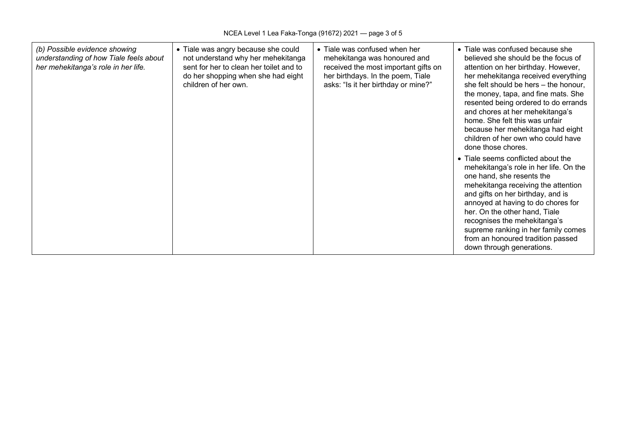| (b) Possible evidence showing<br>understanding of how Tiale feels about<br>her mehekitanga's role in her life. | • Tiale was angry because she could<br>not understand why her mehekitanga<br>sent for her to clean her toilet and to<br>do her shopping when she had eight<br>children of her own. | • Tiale was confused when her<br>mehekitanga was honoured and<br>received the most important gifts on<br>her birthdays. In the poem, Tiale<br>asks: "Is it her birthday or mine?" | • Tiale was confused because she<br>believed she should be the focus of<br>attention on her birthday. However,<br>her mehekitanga received everything<br>she felt should be hers - the honour,<br>the money, tapa, and fine mats. She<br>resented being ordered to do errands<br>and chores at her mehekitanga's<br>home. She felt this was unfair<br>because her mehekitanga had eight<br>children of her own who could have<br>done those chores. |
|----------------------------------------------------------------------------------------------------------------|------------------------------------------------------------------------------------------------------------------------------------------------------------------------------------|-----------------------------------------------------------------------------------------------------------------------------------------------------------------------------------|-----------------------------------------------------------------------------------------------------------------------------------------------------------------------------------------------------------------------------------------------------------------------------------------------------------------------------------------------------------------------------------------------------------------------------------------------------|
|                                                                                                                |                                                                                                                                                                                    |                                                                                                                                                                                   | • Tiale seems conflicted about the<br>mehekitanga's role in her life. On the<br>one hand, she resents the<br>mehekitanga receiving the attention<br>and gifts on her birthday, and is<br>annoyed at having to do chores for<br>her. On the other hand, Tiale<br>recognises the mehekitanga's<br>supreme ranking in her family comes<br>from an honoured tradition passed<br>down through generations.                                               |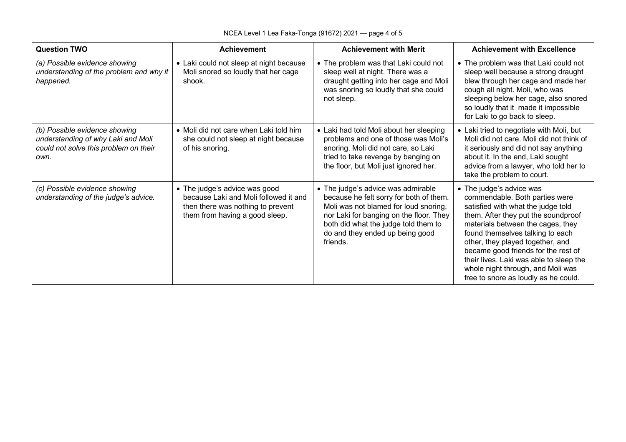| <b>Question TWO</b>                                                                                                  | <b>Achievement</b>                                                                                                                            | <b>Achievement with Merit</b>                                                                                                                                                                                                                            | <b>Achievement with Excellence</b>                                                                                                                                                                                                                                                                                                                                                                                  |
|----------------------------------------------------------------------------------------------------------------------|-----------------------------------------------------------------------------------------------------------------------------------------------|----------------------------------------------------------------------------------------------------------------------------------------------------------------------------------------------------------------------------------------------------------|---------------------------------------------------------------------------------------------------------------------------------------------------------------------------------------------------------------------------------------------------------------------------------------------------------------------------------------------------------------------------------------------------------------------|
| (a) Possible evidence showing<br>understanding of the problem and why it<br>happened.                                | • Laki could not sleep at night because<br>Moli snored so loudly that her cage<br>shook.                                                      | • The problem was that Laki could not<br>sleep well at night. There was a<br>draught getting into her cage and Moli<br>was snoring so loudly that she could<br>not sleep.                                                                                | • The problem was that Laki could not<br>sleep well because a strong draught<br>blew through her cage and made her<br>cough all night. Moli, who was<br>sleeping below her cage, also snored<br>so loudly that it made it impossible<br>for Laki to go back to sleep.                                                                                                                                               |
| (b) Possible evidence showing<br>understanding of why Laki and Moli<br>could not solve this problem on their<br>own. | • Moli did not care when Laki told him<br>she could not sleep at night because<br>of his snoring.                                             | • Laki had told Moli about her sleeping<br>problems and one of those was Moli's<br>snoring. Moli did not care, so Laki<br>tried to take revenge by banging on<br>the floor, but Moli just ignored her.                                                   | • Laki tried to negotiate with Moli, but<br>Moli did not care. Moli did not think of<br>it seriously and did not say anything<br>about it. In the end, Laki sought<br>advice from a lawyer, who told her to<br>take the problem to court.                                                                                                                                                                           |
| (c) Possible evidence showing<br>understanding of the judge's advice.                                                | • The judge's advice was good<br>because Laki and Moli followed it and<br>then there was nothing to prevent<br>them from having a good sleep. | • The judge's advice was admirable<br>because he felt sorry for both of them.<br>Moli was not blamed for loud snoring,<br>nor Laki for banging on the floor. They<br>both did what the judge told them to<br>do and they ended up being good<br>friends. | • The judge's advice was<br>commendable. Both parties were<br>satisfied with what the judge told<br>them. After they put the soundproof<br>materials between the cages, they<br>found themselves talking to each<br>other, they played together, and<br>became good friends for the rest of<br>their lives. Laki was able to sleep the<br>whole night through, and Moli was<br>free to snore as loudly as he could. |

 $\overline{\phantom{a}}$ 

 $\blacksquare$ 

┱